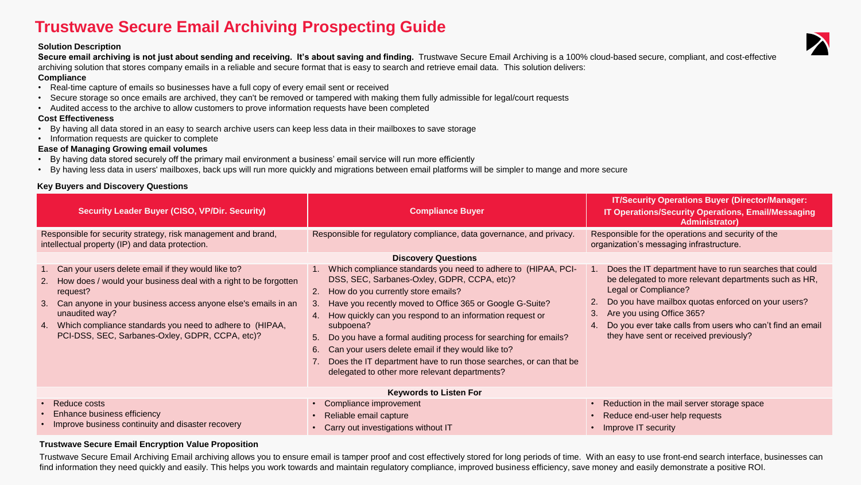# **Trustwave Secure Email Archiving Prospecting Guide**

# **Solution Description**

Secure email archiving is not just about sending and receiving. It's about saving and finding. Trustwave Secure Email Archiving is a 100% cloud-based secure, compliant, and cost-effective archiving solution that stores company emails in a reliable and secure format that is easy to search and retrieve email data. This solution delivers:

### **Compliance**

- Real-time capture of emails so businesses have a full copy of every email sent or received
- Secure storage so once emails are archived, they can't be removed or tampered with making them fully admissible for legal/court requests
- Audited access to the archive to allow customers to prove information requests have been completed

## **Cost Effectiveness**

- By having all data stored in an easy to search archive users can keep less data in their mailboxes to save storage
- Information requests are quicker to complete

# **Ease of Managing Growing email volumes**

- By having data stored securely off the primary mail environment a business' email service will run more efficiently
- By having less data in users' mailboxes, back ups will run more quickly and migrations between email platforms will be simpler to mange and more secure

# **Key Buyers and Discovery Questions**

| <b>Security Leader Buyer (CISO, VP/Dir. Security)</b>                                                                                                                                                                                                                                                                                            | <b>Compliance Buyer</b>                                                                                                                                                                                                                                                                                                                                                                                                                                                                                                                                           | <b>IT/Security Operations Buyer (Director/Manager:</b><br><b>IT Operations/Security Operations, Email/Messaging</b><br>Administrator)                                                                                                                                                                                                         |  |  |
|--------------------------------------------------------------------------------------------------------------------------------------------------------------------------------------------------------------------------------------------------------------------------------------------------------------------------------------------------|-------------------------------------------------------------------------------------------------------------------------------------------------------------------------------------------------------------------------------------------------------------------------------------------------------------------------------------------------------------------------------------------------------------------------------------------------------------------------------------------------------------------------------------------------------------------|-----------------------------------------------------------------------------------------------------------------------------------------------------------------------------------------------------------------------------------------------------------------------------------------------------------------------------------------------|--|--|
| Responsible for security strategy, risk management and brand,<br>intellectual property (IP) and data protection.                                                                                                                                                                                                                                 | Responsible for regulatory compliance, data governance, and privacy.                                                                                                                                                                                                                                                                                                                                                                                                                                                                                              | Responsible for the operations and security of the<br>organization's messaging infrastructure.                                                                                                                                                                                                                                                |  |  |
| <b>Discovery Questions</b>                                                                                                                                                                                                                                                                                                                       |                                                                                                                                                                                                                                                                                                                                                                                                                                                                                                                                                                   |                                                                                                                                                                                                                                                                                                                                               |  |  |
| 1. Can your users delete email if they would like to?<br>2. How does / would your business deal with a right to be forgotten<br>request?<br>3. Can anyone in your business access anyone else's emails in an<br>unaudited way?<br>4. Which compliance standards you need to adhere to (HIPAA,<br>PCI-DSS, SEC, Sarbanes-Oxley, GDPR, CCPA, etc)? | Which compliance standards you need to adhere to (HIPAA, PCI-<br>DSS, SEC, Sarbanes-Oxley, GDPR, CCPA, etc)?<br>2. How do you currently store emails?<br>Have you recently moved to Office 365 or Google G-Suite?<br>3.<br>How quickly can you respond to an information request or<br>4.<br>subpoena?<br>Do you have a formal auditing process for searching for emails?<br>5.<br>Can your users delete email if they would like to?<br>6.<br>Does the IT department have to run those searches, or can that be<br>delegated to other more relevant departments? | Does the IT department have to run searches that could<br>be delegated to more relevant departments such as HR,<br>Legal or Compliance?<br>Do you have mailbox quotas enforced on your users?<br>Are you using Office 365?<br>3.<br>Do you ever take calls from users who can't find an email<br>4.<br>they have sent or received previously? |  |  |
| <b>Keywords to Listen For</b>                                                                                                                                                                                                                                                                                                                    |                                                                                                                                                                                                                                                                                                                                                                                                                                                                                                                                                                   |                                                                                                                                                                                                                                                                                                                                               |  |  |
| • Reduce costs<br>• Enhance business efficiency<br>• Improve business continuity and disaster recovery                                                                                                                                                                                                                                           | • Compliance improvement<br>Reliable email capture<br>Carry out investigations without IT                                                                                                                                                                                                                                                                                                                                                                                                                                                                         | Reduction in the mail server storage space<br>$\bullet$<br>Reduce end-user help requests<br>Improve IT security                                                                                                                                                                                                                               |  |  |
|                                                                                                                                                                                                                                                                                                                                                  |                                                                                                                                                                                                                                                                                                                                                                                                                                                                                                                                                                   |                                                                                                                                                                                                                                                                                                                                               |  |  |

# **Trustwave Secure Email Encryption Value Proposition**

Trustwave Secure Email Archiving Email archiving allows you to ensure email is tamper proof and cost effectively stored for long periods of time. With an easy to use front-end search interface, businesses can find information they need quickly and easily. This helps you work towards and maintain regulatory compliance, improved business efficiency, save money and easily demonstrate a positive ROI.